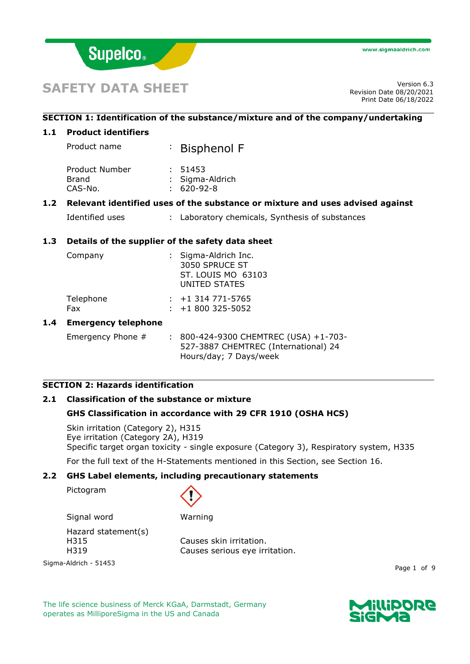

# **SAFETY DATA SHEET**

Revision Date 08/20/2021 Print Date 06/18/2022

#### **SECTION 1: Identification of the substance/mixture and of the company/undertaking**

#### **1.1 Product identifiers**

Product name : Bisphenol F

| Product Number | : 51453          |
|----------------|------------------|
| Brand          | : Sigma-Aldrich  |
| CAS-No.        | $: 620 - 92 - 8$ |

## **1.2 Relevant identified uses of the substance or mixture and uses advised against**

Identified uses : Laboratory chemicals, Synthesis of substances

#### **1.3 Details of the supplier of the safety data sheet**

| Company          | : Sigma-Aldrich Inc.<br>3050 SPRUCE ST<br>ST. LOUIS MO 63103<br>UNITED STATES |  |
|------------------|-------------------------------------------------------------------------------|--|
| Telephone<br>Fax | $: +1$ 314 771-5765<br>$: +1800325 - 5052$                                    |  |

#### **1.4 Emergency telephone**

Emergency Phone # : 800-424-9300 CHEMTREC (USA) +1-703-527-3887 CHEMTREC (International) 24 Hours/day; 7 Days/week

# **SECTION 2: Hazards identification**

#### **2.1 Classification of the substance or mixture**

#### **GHS Classification in accordance with 29 CFR 1910 (OSHA HCS)**

Skin irritation (Category 2), H315 Eye irritation (Category 2A), H319 Specific target organ toxicity - single exposure (Category 3), Respiratory system, H335

For the full text of the H-Statements mentioned in this Section, see Section 16.

#### **2.2 GHS Label elements, including precautionary statements**

Pictogram



Signal word Warning Hazard statement(s)

H315 Causes skin irritation.

Sigma-Aldrich - 51453

H319 Causes serious eye irritation.

Page 1 of 9

The life science business of Merck KGaA, Darmstadt, Germany operates as MilliporeSigma in the US and Canada

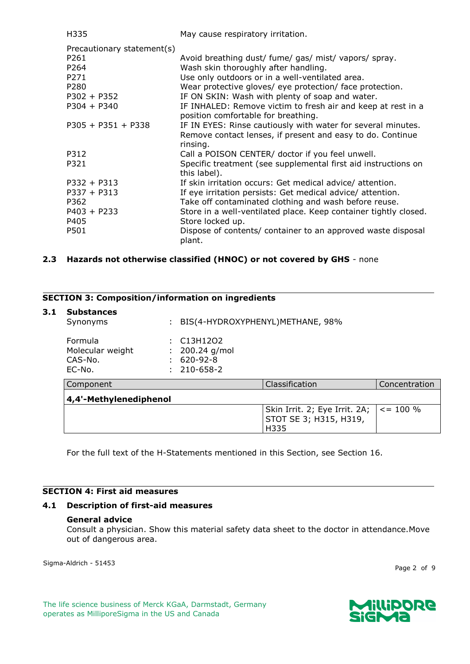| H335                       | May cause respiratory irritation.                                |
|----------------------------|------------------------------------------------------------------|
| Precautionary statement(s) |                                                                  |
| P261                       | Avoid breathing dust/ fume/ gas/ mist/ vapors/ spray.            |
| P264                       | Wash skin thoroughly after handling.                             |
| P271                       | Use only outdoors or in a well-ventilated area.                  |
| P280                       | Wear protective gloves/ eye protection/ face protection.         |
| $P302 + P352$              | IF ON SKIN: Wash with plenty of soap and water.                  |
| $P304 + P340$              | IF INHALED: Remove victim to fresh air and keep at rest in a     |
|                            | position comfortable for breathing.                              |
| $P305 + P351 + P338$       | IF IN EYES: Rinse cautiously with water for several minutes.     |
|                            | Remove contact lenses, if present and easy to do. Continue       |
|                            | rinsing.                                                         |
| P312                       | Call a POISON CENTER/ doctor if you feel unwell.                 |
| P321                       | Specific treatment (see supplemental first aid instructions on   |
|                            | this label).                                                     |
| $P332 + P313$              | If skin irritation occurs: Get medical advice/attention.         |
| $P337 + P313$              | If eye irritation persists: Get medical advice/ attention.       |
| P362                       | Take off contaminated clothing and wash before reuse.            |
| $P403 + P233$              | Store in a well-ventilated place. Keep container tightly closed. |
| P405                       | Store locked up.                                                 |
| P501                       | Dispose of contents/ container to an approved waste disposal     |
|                            | plant.                                                           |

# **2.3 Hazards not otherwise classified (HNOC) or not covered by GHS** - none

## **SECTION 3: Composition/information on ingredients**

#### **3.1 Substances**

| puvstantes<br>Synonyms                           |                                                         | BIS(4-HYDROXYPHENYL)METHANE, 98%                        |               |  |
|--------------------------------------------------|---------------------------------------------------------|---------------------------------------------------------|---------------|--|
| Formula<br>Molecular weight<br>CAS-No.<br>EC-No. | C13H12O2<br>200.24 g/mol<br>$620 - 92 - 8$<br>210-658-2 |                                                         |               |  |
| Component                                        |                                                         | Classification                                          | Concentration |  |
| 4,4'-Methylenediphenol                           |                                                         |                                                         |               |  |
|                                                  |                                                         | Skin Irrit. 2; Eye Irrit. 2A;<br>STOT SE 3; H315, H319, | $\le$ = 100 % |  |

H335

For the full text of the H-Statements mentioned in this Section, see Section 16.

# **SECTION 4: First aid measures**

#### **4.1 Description of first-aid measures**

#### **General advice**

Consult a physician. Show this material safety data sheet to the doctor in attendance.Move out of dangerous area.

Sigma-Aldrich - 51453

Page 2 of 9

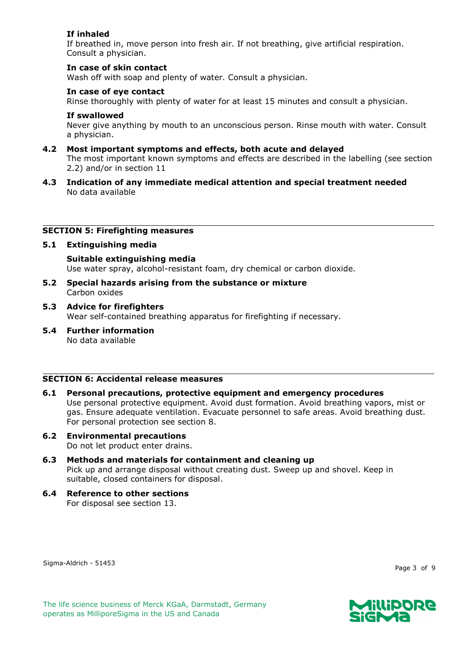# **If inhaled**

If breathed in, move person into fresh air. If not breathing, give artificial respiration. Consult a physician.

#### **In case of skin contact**

Wash off with soap and plenty of water. Consult a physician.

## **In case of eye contact**

Rinse thoroughly with plenty of water for at least 15 minutes and consult a physician.

#### **If swallowed**

Never give anything by mouth to an unconscious person. Rinse mouth with water. Consult a physician.

# **4.2 Most important symptoms and effects, both acute and delayed**

The most important known symptoms and effects are described in the labelling (see section 2.2) and/or in section 11

#### **4.3 Indication of any immediate medical attention and special treatment needed** No data available

#### **SECTION 5: Firefighting measures**

## **5.1 Extinguishing media**

**Suitable extinguishing media** Use water spray, alcohol-resistant foam, dry chemical or carbon dioxide.

- **5.2 Special hazards arising from the substance or mixture** Carbon oxides
- **5.3 Advice for firefighters** Wear self-contained breathing apparatus for firefighting if necessary.
- **5.4 Further information** No data available

#### **SECTION 6: Accidental release measures**

#### **6.1 Personal precautions, protective equipment and emergency procedures** Use personal protective equipment. Avoid dust formation. Avoid breathing vapors, mist or gas. Ensure adequate ventilation. Evacuate personnel to safe areas. Avoid breathing dust. For personal protection see section 8.

- **6.2 Environmental precautions** Do not let product enter drains.
- **6.3 Methods and materials for containment and cleaning up** Pick up and arrange disposal without creating dust. Sweep up and shovel. Keep in suitable, closed containers for disposal.
- **6.4 Reference to other sections** For disposal see section 13.

Sigma-Aldrich - 51453

Page 3 of 9

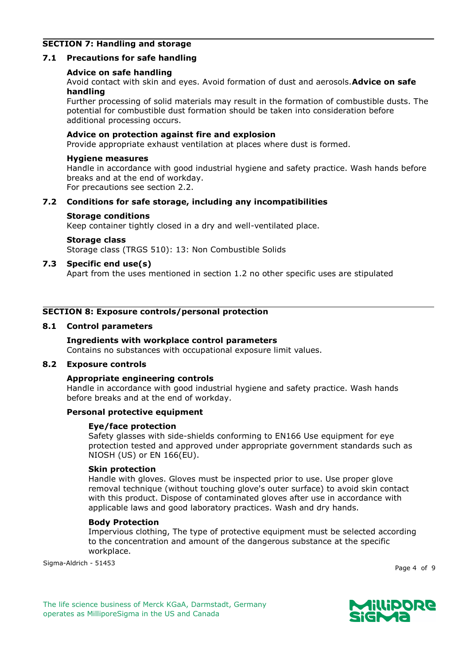# **SECTION 7: Handling and storage**

#### **7.1 Precautions for safe handling**

#### **Advice on safe handling**

Avoid contact with skin and eyes. Avoid formation of dust and aerosols.**Advice on safe handling**

Further processing of solid materials may result in the formation of combustible dusts. The potential for combustible dust formation should be taken into consideration before additional processing occurs.

#### **Advice on protection against fire and explosion**

Provide appropriate exhaust ventilation at places where dust is formed.

#### **Hygiene measures**

Handle in accordance with good industrial hygiene and safety practice. Wash hands before breaks and at the end of workday. For precautions see section 2.2.

## **7.2 Conditions for safe storage, including any incompatibilities**

#### **Storage conditions**

Keep container tightly closed in a dry and well-ventilated place.

#### **Storage class**

Storage class (TRGS 510): 13: Non Combustible Solids

#### **7.3 Specific end use(s)**

Apart from the uses mentioned in section 1.2 no other specific uses are stipulated

## **SECTION 8: Exposure controls/personal protection**

#### **8.1 Control parameters**

#### **Ingredients with workplace control parameters**

Contains no substances with occupational exposure limit values.

## **8.2 Exposure controls**

#### **Appropriate engineering controls**

Handle in accordance with good industrial hygiene and safety practice. Wash hands before breaks and at the end of workday.

#### **Personal protective equipment**

#### **Eye/face protection**

Safety glasses with side-shields conforming to EN166 Use equipment for eye protection tested and approved under appropriate government standards such as NIOSH (US) or EN 166(EU).

#### **Skin protection**

Handle with gloves. Gloves must be inspected prior to use. Use proper glove removal technique (without touching glove's outer surface) to avoid skin contact with this product. Dispose of contaminated gloves after use in accordance with applicable laws and good laboratory practices. Wash and dry hands.

#### **Body Protection**

Impervious clothing, The type of protective equipment must be selected according to the concentration and amount of the dangerous substance at the specific workplace.

Sigma-Aldrich - 51453

Page 4 of 9

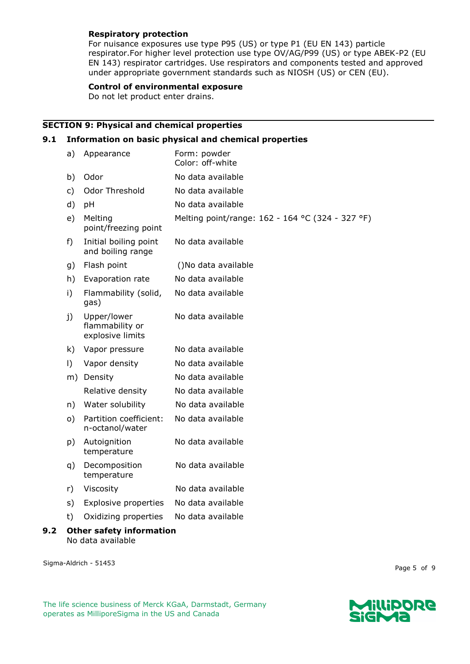#### **Respiratory protection**

For nuisance exposures use type P95 (US) or type P1 (EU EN 143) particle respirator.For higher level protection use type OV/AG/P99 (US) or type ABEK-P2 (EU EN 143) respirator cartridges. Use respirators and components tested and approved under appropriate government standards such as NIOSH (US) or CEN (EU).

#### **Control of environmental exposure**

Do not let product enter drains.

# **SECTION 9: Physical and chemical properties**

## **9.1 Information on basic physical and chemical properties**

| a)                              | Appearance                                         | Form: powder<br>Color: off-white                 |  |
|---------------------------------|----------------------------------------------------|--------------------------------------------------|--|
| b)                              | Odor                                               | No data available                                |  |
| c)                              | Odor Threshold                                     | No data available                                |  |
| d)                              | pH                                                 | No data available                                |  |
| e)                              | Melting<br>point/freezing point                    | Melting point/range: 162 - 164 °C (324 - 327 °F) |  |
| f)                              | Initial boiling point<br>and boiling range         | No data available                                |  |
| g)                              | Flash point                                        | ()No data available                              |  |
| h)                              | Evaporation rate                                   | No data available                                |  |
| i)                              | Flammability (solid,<br>gas)                       | No data available                                |  |
| j)                              | Upper/lower<br>flammability or<br>explosive limits | No data available                                |  |
| k)                              | Vapor pressure                                     | No data available                                |  |
| $\vert$                         | Vapor density                                      | No data available                                |  |
| m)                              | Density                                            | No data available                                |  |
|                                 | Relative density                                   | No data available                                |  |
| n)                              | Water solubility                                   | No data available                                |  |
| o)                              | Partition coefficient:<br>n-octanol/water          | No data available                                |  |
| p)                              | Autoignition<br>temperature                        | No data available                                |  |
| q)                              | Decomposition<br>temperature                       | No data available                                |  |
| r)                              | Viscosity                                          | No data available                                |  |
| s)                              | <b>Explosive properties</b>                        | No data available                                |  |
| t)                              | Oxidizing properties                               | No data available                                |  |
| <b>Other safety information</b> |                                                    |                                                  |  |

No data available

Sigma-Aldrich - 51453

**9.2** 

Page 5 of 9

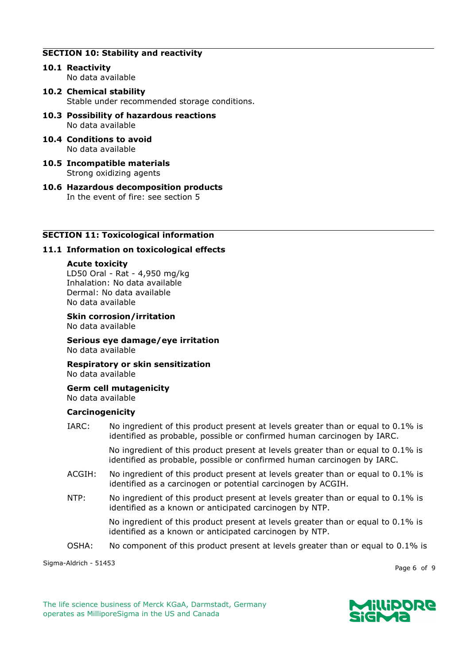# **SECTION 10: Stability and reactivity**

- **10.1 Reactivity** No data available
- **10.2 Chemical stability** Stable under recommended storage conditions.
- **10.3 Possibility of hazardous reactions** No data available
- **10.4 Conditions to avoid** No data available
- **10.5 Incompatible materials** Strong oxidizing agents
- **10.6 Hazardous decomposition products** In the event of fire: see section 5

## **SECTION 11: Toxicological information**

#### **11.1 Information on toxicological effects**

#### **Acute toxicity**

LD50 Oral - Rat - 4,950 mg/kg Inhalation: No data available Dermal: No data available No data available

**Skin corrosion/irritation** No data available

**Serious eye damage/eye irritation** No data available

**Respiratory or skin sensitization** No data available

**Germ cell mutagenicity** No data available

#### **Carcinogenicity**

IARC: No ingredient of this product present at levels greater than or equal to 0.1% is identified as probable, possible or confirmed human carcinogen by IARC.

> No ingredient of this product present at levels greater than or equal to 0.1% is identified as probable, possible or confirmed human carcinogen by IARC.

- ACGIH: No ingredient of this product present at levels greater than or equal to 0.1% is identified as a carcinogen or potential carcinogen by ACGIH.
- NTP: No ingredient of this product present at levels greater than or equal to 0.1% is identified as a known or anticipated carcinogen by NTP.

No ingredient of this product present at levels greater than or equal to 0.1% is identified as a known or anticipated carcinogen by NTP.

OSHA: No component of this product present at levels greater than or equal to 0.1% is

Sigma-Aldrich - 51453

Page 6 of 9

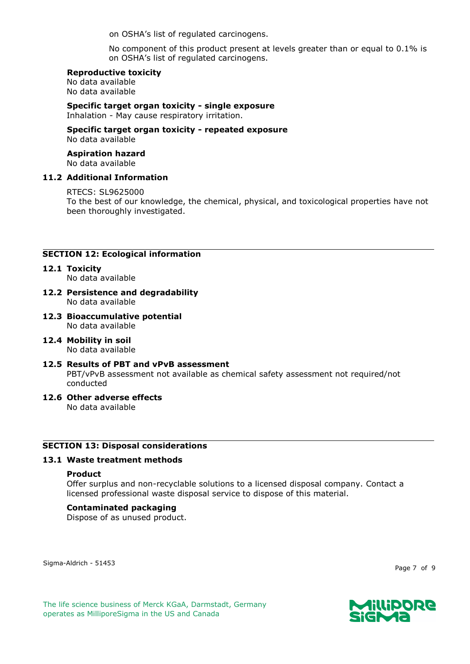on OSHA's list of regulated carcinogens.

No component of this product present at levels greater than or equal to 0.1% is on OSHA's list of regulated carcinogens.

#### **Reproductive toxicity**

No data available No data available

## **Specific target organ toxicity - single exposure**

Inhalation - May cause respiratory irritation.

## **Specific target organ toxicity - repeated exposure** No data available

#### **Aspiration hazard** No data available

#### **11.2 Additional Information**

#### RTECS: SL9625000

To the best of our knowledge, the chemical, physical, and toxicological properties have not been thoroughly investigated.

# **SECTION 12: Ecological information**

- **12.1 Toxicity** No data available
- **12.2 Persistence and degradability** No data available
- **12.3 Bioaccumulative potential** No data available
- **12.4 Mobility in soil** No data available

#### **12.5 Results of PBT and vPvB assessment** PBT/vPvB assessment not available as chemical safety assessment not required/not conducted

#### **12.6 Other adverse effects** No data available

# **SECTION 13: Disposal considerations**

#### **13.1 Waste treatment methods**

#### **Product**

Offer surplus and non-recyclable solutions to a licensed disposal company. Contact a licensed professional waste disposal service to dispose of this material.

#### **Contaminated packaging**

Dispose of as unused product.

Sigma-Aldrich - 51453

Page 7 of 9

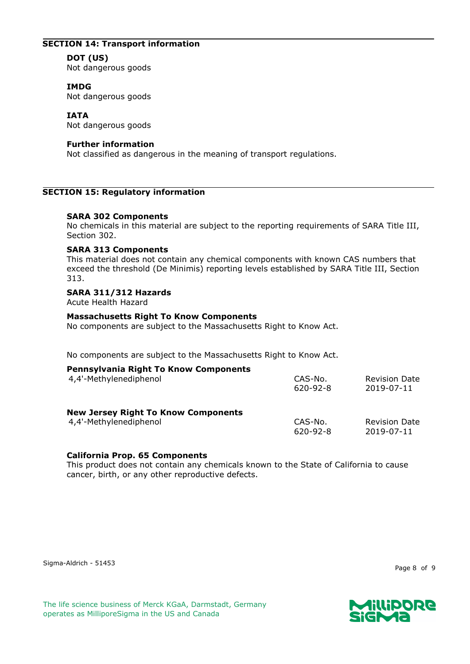# **SECTION 14: Transport information**

# **DOT (US)**

Not dangerous goods

## **IMDG**

Not dangerous goods

# **IATA**

Not dangerous goods

## **Further information**

Not classified as dangerous in the meaning of transport regulations.

## **SECTION 15: Regulatory information**

## **SARA 302 Components**

No chemicals in this material are subject to the reporting requirements of SARA Title III, Section 302.

#### **SARA 313 Components**

This material does not contain any chemical components with known CAS numbers that exceed the threshold (De Minimis) reporting levels established by SARA Title III, Section 313.

#### **SARA 311/312 Hazards**

Acute Health Hazard

## **Massachusetts Right To Know Components**

No components are subject to the Massachusetts Right to Know Act.

No components are subject to the Massachusetts Right to Know Act.

| <b>Pennsylvania Right To Know Components</b> | CAS-No.        | <b>Revision Date</b> |
|----------------------------------------------|----------------|----------------------|
| 4,4'-Methylenediphenol                       | $620 - 92 - 8$ | 2019-07-11           |
| <b>New Jersey Right To Know Components</b>   | CAS-No.        | <b>Revision Date</b> |
| 4,4'-Methylenediphenol                       | $620 - 92 - 8$ | 2019-07-11           |

#### **California Prop. 65 Components**

This product does not contain any chemicals known to the State of California to cause cancer, birth, or any other reproductive defects.

Page 8 of 9



The life science business of Merck KGaA, Darmstadt, Germany operates as MilliporeSigma in the US and Canada